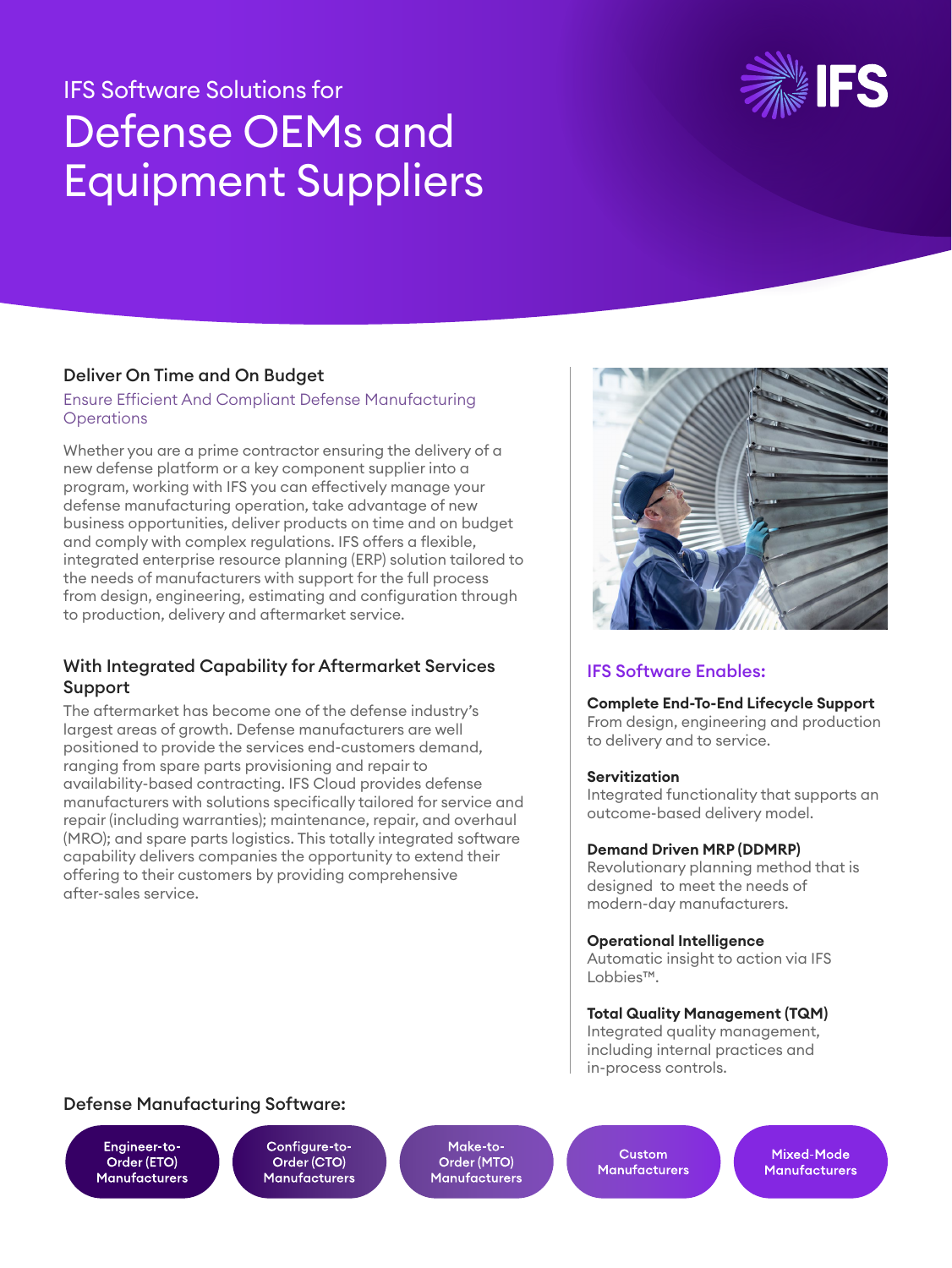# IFS Software Solutions for Defense OEMs and Equipment Suppliers



# Deliver On Time and On Budget

#### Ensure Efficient And Compliant Defense Manufacturing **Operations**

Whether you are a prime contractor ensuring the delivery of a new defense platform or a key component supplier into a program, working with IFS you can effectively manage your defense manufacturing operation, take advantage of new business opportunities, deliver products on time and on budget and comply with complex regulations. IFS offers a flexible, integrated enterprise resource planning (ERP) solution tailored to the needs of manufacturers with support for the full process from design, engineering, estimating and configuration through to production, delivery and aftermarket service.

# With Integrated Capability for Aftermarket Services Support

The aftermarket has become one of the defense industry's largest areas of growth. Defense manufacturers are well positioned to provide the services end-customers demand, ranging from spare parts provisioning and repair to availability-based contracting. IFS Cloud provides defense manufacturers with solutions specifically tailored for service and repair (including warranties); maintenance, repair, and overhaul (MRO); and spare parts logistics. This totally integrated software capability delivers companies the opportunity to extend their offering to their customers by providing comprehensive after-sales service.



# IFS Software Enables:

#### **Complete End-To-End Lifecycle Support**

From design, engineering and production to delivery and to service.

## **Servitization**

Integrated functionality that supports an outcome-based delivery model.

## **Demand Driven MRP (DDMRP)**

Revolutionary planning method that is designed to meet the needs of modern-day manufacturers.

#### **Operational Intelligence**

Automatic insight to action via IFS Lobbies™.

## **Total Quality Management (TQM)**

Integrated quality management, including internal practices and in-process controls.

# Defense Manufacturing Software:

Engineer-to-Order (ETO) **Manufacturers** 

Configure-to-Order (CTO) **Manufacturers** 

Make-to-Order (MTO) **Manufacturers** 

Custom **Manufacturers** 

Mixed-Mode **Manufacturers**